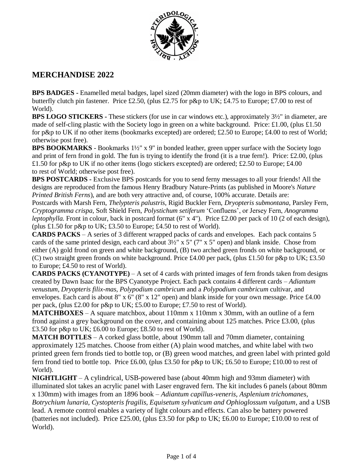

## **MERCHANDISE 2022**

**BPS BADGES -** Enamelled metal badges, lapel sized (20mm diameter) with the logo in BPS colours, and butterfly clutch pin fastener. Price £2.50, (plus £2.75 for p&p to UK; £4.75 to Europe; £7.00 to rest of World).

**BPS LOGO STICKERS -** These stickers (for use in car windows etc.), approximately 3½" in diameter, are made of self-cling plastic with the Society logo in green on a white background. Price: £1.00, (plus £1.50 for p&p to UK if no other items (bookmarks excepted) are ordered; £2.50 to Europe; £4.00 to rest of World; otherwise post free).

**BPS BOOKMARKS** - Bookmarks 1½" x 9" in bonded leather, green upper surface with the Society logo and print of fern frond in gold. The fun is trying to identify the frond (it is a true fern!). Price:  $\pounds2.00$ , (plus £1.50 for p&p to UK if no other items (logo stickers excepted) are ordered; £2.50 to Europe; £4.00 to rest of World; otherwise post free).

**BPS POSTCARDS -** Exclusive BPS postcards for you to send ferny messages to all your friends! All the designs are reproduced from the famous Henry Bradbury Nature-Prints (as published in Moore's *Nature Printed British Ferns*), and are both very attractive and, of course, 100% accurate. Details are:

Postcards with Marsh Fern, *Thelypteris palustris*, Rigid Buckler Fern, *Dryopteris submontana*, Parsley Fern*, Cryptogramma crispa*, Soft Shield Fern, *Polystichum setiferum* 'Confluens', or Jersey Fern, *Anogramma leptophylla*. Front in colour, back in postcard format (6" x 4"). Price £2.00 per pack of 10 (2 of each design), (plus £1.50 for p&p to UK; £3.50 to Europe; £4.50 to rest of World).

**CARDS PACKS** – A series of 3 different wrapped packs of cards and envelopes. Each pack contains 5 cards of the same printed design, each card about 3½" x 5" (7" x 5" open) and blank inside. Chose from either (A) gold frond on green and white background, (B) two arched green fronds on white background, or (C) two straight green fronds on white background. Price £4.00 per pack, (plus £1.50 for p&p to UK; £3.50 to Europe; £4.50 to rest of World).

**CARDS PACKS (CYANOTYPE)** – A set of 4 cards with printed images of fern fronds taken from designs created by Dawn Isaac for the BPS Cyanotype Project. Each pack contains 4 different cards – *Adiantum venustum, Dryopteris filix-mas, Polypodium cambricum* and a *Polypodium cambricum* cultivar, and envelopes. Each card is about 8" x 6" (8" x 12" open) and blank inside for your own message. Price £4.00 per pack, (plus £2.00 for p&p to UK; £5.00 to Europe; £7.50 to rest of World).

**MATCHBOXES** – A square matchbox, about 110mm x 110mm x 30mm, with an outline of a fern frond against a grey background on the cover, and containing about 125 matches. Price £3.00, (plus £3.50 for p&p to UK; £6.00 to Europe; £8.50 to rest of World).

**MATCH BOTTLES** – A corked glass bottle, about 190mm tall and 70mm diameter, containing approximately 125 matches. Choose from either (A) plain wood matches, and white label with two printed green fern fronds tied to bottle top, or (B) green wood matches, and green label with printed gold fern frond tied to bottle top. Price £6.00, (plus £3.50 for p&p to UK; £6.50 to Europe; £10.00 to rest of World).

**NIGHTLIGHT** – A cylindrical, USB-powered base (about 40mm high and 93mm diameter) with illuminated slot takes an acrylic panel with Laser engraved fern. The kit includes 6 panels (about 80mm x 130mm) with images from an 1896 book – *Adiantum capillus-veneris, Asplenium trichomanes, Botrychium lunaria, Cystopteris fragilis, Equisetum sylvaticum and Ophioglossum vulgatum*, and a USB lead. A remote control enables a variety of light colours and effects. Can also be battery powered (batteries not included). Price £25.00, (plus £3.50 for p&p to UK; £6.00 to Europe; £10.00 to rest of World).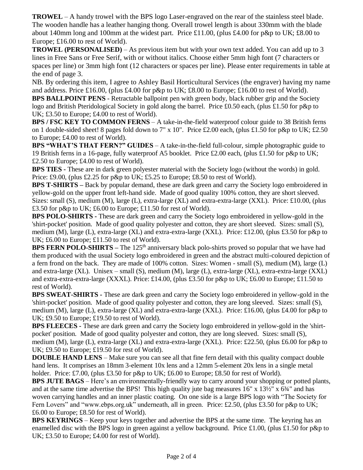**TROWEL** – A handy trowel with the BPS logo Laser-engraved on the rear of the stainless steel blade. The wooden handle has a leather hanging thong. Overall trowel length is about 330mm with the blade about 140mm long and 100mm at the widest part. Price £11.00, (plus £4.00 for p&p to UK; £8.00 to Europe; £16.00 to rest of World).

**TROWEL (PERSONALISED)** – As previous item but with your own text added. You can add up to 3 lines in Free Sans or Free Serif, with or without italics. Choose either 5mm high font (7 characters or spaces per line) or 3mm high font (12 characters or spaces per line). Please enter requirements in table at the end of page 3.

NB. By ordering this item, I agree to Ashley Basil Horticultural Services (the engraver) having my name and address. Price £16.00, (plus £4.00 for p&p to UK; £8.00 to Europe; £16.00 to rest of World).

**BPS BALLPOINT PENS** - Retractable ballpoint pen with green body, black rubber grip and the Society logo and British Pteridological Society in gold along the barrel. Price £0.50 each, (plus £1.50 for p&p to UK; £3.50 to Europe; £4.00 to rest of World).

**BPS / FSC KEY TO COMMON FERNS** – A take-in-the-field waterproof colour guide to 38 British ferns on 1 double-sided sheet! 8 pages fold down to 7" x 10". Price £2.00 each, (plus £1.50 for p&p to UK; £2.50 to Europe; £4.00 to rest of World).

**BPS "WHAT'S THAT FERN?" GUIDES** – A take-in-the-field full-colour, simple photographic guide to 19 British ferns in a 16-page, fully waterproof A5 booklet. Price £2.00 each, (plus £1.50 for p&p to UK; £2.50 to Europe; £4.00 to rest of World).

**BPS TIES -** These are in dark green polyester material with the Society logo (without the words) in gold. Price: £9.00, (plus £2.25 for p&p to UK; £5.25 to Europe; £8.50 to rest of World).

**BPS T-SHIRTS –** Back by popular demand, these are dark green and carry the Society logo embroidered in yellow-gold on the upper front left-hand side. Made of good quality 100% cotton, they are short sleeved. Sizes: small (S), medium (M), large (L), extra-large (XL) and extra-extra-large (XXL). Price: £10.00, (plus £3.50 for p&p to UK; £6.00 to Europe; £11.50 for rest of World).

**BPS POLO-SHIRTS -** These are dark green and carry the Society logo embroidered in yellow-gold in the 'shirt-pocket' position. Made of good quality polyester and cotton, they are short sleeved. Sizes: small (S), medium (M), large (L), extra-large (XL) and extra-extra-large (XXL). Price: £12.00, (plus £3.50 for p&p to UK; £6.00 to Europe; £11.50 to rest of World).

**BPS FERN POLO-SHIRTS** – The 125<sup>th</sup> anniversary black polo-shirts proved so popular that we have had them produced with the usual Society logo embroidered in green and the abstract multi-coloured depiction of a fern frond on the back. They are made of 100% cotton. Sizes: Women - small (S), medium (M), large (L) and extra-large (XL). Unisex – small (S), medium (M), large (L), extra-large (XL), extra-extra-large (XXL) and extra-extra-extra-large (XXXL). Price: £14.00, (plus £3.50 for p&p to UK; £6.00 to Europe; £11.50 to rest of World).

**BPS SWEAT-SHIRTS -** These are dark green and carry the Society logo embroidered in yellow-gold in the 'shirt-pocket' position. Made of good quality polyester and cotton, they are long sleeved. Sizes: small (S), medium (M), large (L), extra-large (XL) and extra-extra-large (XXL). Price: £16.00, (plus £4.00 for p&p to UK; £9.50 to Europe; £19.50 to rest of World).

**BPS FLEECES -** These are dark green and carry the Society logo embroidered in yellow-gold in the 'shirtpocket' position. Made of good quality polyester and cotton, they are long sleeved. Sizes: small (S), medium (M), large (L), extra-large (XL) and extra-extra-large (XXL). Price: £22.50, (plus £6.00 for p&p to UK; £9.50 to Europe; £19.50 for rest of World).

**DOUBLE HAND LENS** – Make sure you can see all that fine fern detail with this quality compact double hand lens. It comprises an 18mm 3-element 10x lens and a 12mm 5-element 20x lens in a single metal holder. Price: £7.00, (plus £3.50 for p&p to UK; £6.00 to Europe; £8.50 for rest of World).

**BPS JUTE BAGS** – Here's an environmentally-friendly way to carry around your shopping or potted plants, and at the same time advertise the BPS! This high quality jute bag measures  $16" \times 13\frac{1}{2}$ " x  $6\frac{3}{4}$ " and has woven carrying handles and an inner plastic coating. On one side is a large BPS logo with "The Society for Fern Lovers" and "www.ebps.org.uk" underneath, all in green. Price: £2.50, (plus £3.50 for p&p to UK; £6.00 to Europe; £8.50 for rest of World).

**BPS KEYRINGS** – Keep your keys together and advertise the BPS at the same time. The keyring has an enamelled disc with the BPS logo in green against a yellow background. Price £1.00, (plus £1.50 for p&p to UK; £3.50 to Europe; £4.00 for rest of World).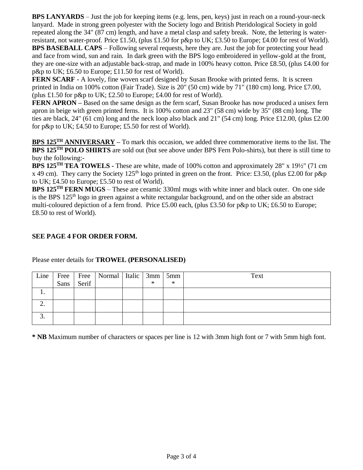**BPS LANYARDS** *–* Just the job for keeping items (e.g. lens, pen, keys) just in reach on a round-your-neck lanyard. Made in strong green polyester with the Society logo and British Pteridological Society in gold repeated along the 34" (87 cm) length, and have a metal clasp and safety break. Note, the lettering is waterresistant, not water-proof. Price £1.50, (plus £1.50 for p&p to UK; £3.50 to Europe; £4.00 for rest of World). **BPS BASEBALL CAPS** – Following several requests, here they are. Just the job for protecting your head and face from wind, sun and rain. In dark green with the BPS logo embroidered in yellow-gold at the front, they are one-size with an adjustable back-strap, and made in 100% heavy cotton. Price £8.50, (plus £4.00 for p&p to UK; £6.50 to Europe; £11.50 for rest of World).

**FERN SCARF -** A lovely, fine woven scarf designed by Susan Brooke with printed ferns. It is screen printed in India on 100% cotton (Fair Trade). Size is 20" (50 cm) wide by 71" (180 cm) long. Price £7.00, (plus £1.50 for p&p to UK; £2.50 to Europe; £4.00 for rest of World).

**FERN APRON –** Based on the same design as the fern scarf, Susan Brooke has now produced a unisex fern apron in beige with green printed ferns. It is 100% cotton and 23" (58 cm) wide by 35" (88 cm) long. The ties are black, 24" (61 cm) long and the neck loop also black and 21" (54 cm) long. Price £12.00, (plus £2.00 for p&p to UK; £4.50 to Europe; £5.50 for rest of World).

**BPS 125TH ANNIVERSARY –** To mark this occasion, we added three commemorative items to the list. The **BPS 125TH POLO SHIRTS** are sold out (but see above under BPS Fern Polo-shirts), but there is still time to buy the following:-

**BPS 125TH TEA TOWELS -** These are white, made of 100% cotton and approximately 28" x 19½" (71 cm x 49 cm). They carry the Society 125<sup>th</sup> logo printed in green on the front. Price: £3.50, (plus £2.00 for p&p to UK; £4.50 to Europe; £5.50 to rest of World).

**BPS 125TH FERN MUGS** – These are ceramic 330ml mugs with white inner and black outer. On one side is the BPS 125<sup>th</sup> logo in green against a white rectangular background, and on the other side an abstract multi-coloured depiction of a fern frond. Price £5.00 each, (plus £3.50 for p&p to UK; £6.50 to Europe; £8.50 to rest of World).

## **SEE PAGE 4 FOR ORDER FORM.**

| Line | Sans | Serif | Free   Free   Normal   Italic   3mm   5mm | $\ast$ | $\ast$ | Text |
|------|------|-------|-------------------------------------------|--------|--------|------|
|      |      |       |                                           |        |        |      |
|      |      |       |                                           |        |        |      |
|      |      |       |                                           |        |        |      |

Please enter details for **TROWEL (PERSONALISED)**

**\* NB** Maximum number of characters or spaces per line is 12 with 3mm high font or 7 with 5mm high font.